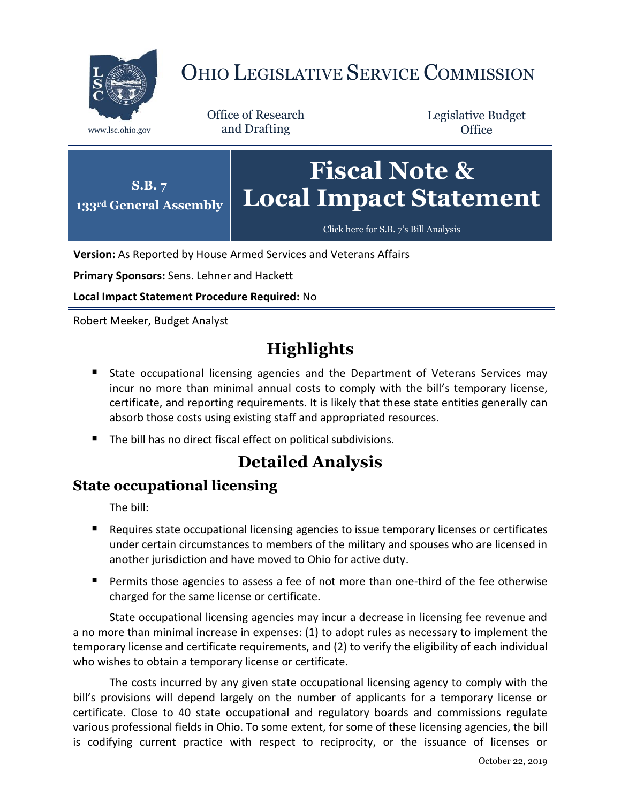

# OHIO LEGISLATIVE SERVICE COMMISSION

Office of Research www.lsc.ohio.gov and Drafting

Legislative Budget **Office** 



**Version:** As Reported by House Armed Services and Veterans Affairs

**Primary Sponsors:** Sens. Lehner and Hackett

**Local Impact Statement Procedure Required:** No

Robert Meeker, Budget Analyst

## **Highlights**

- **State occupational licensing agencies and the Department of Veterans Services may** incur no more than minimal annual costs to comply with the bill's temporary license, certificate, and reporting requirements. It is likely that these state entities generally can absorb those costs using existing staff and appropriated resources.
- The bill has no direct fiscal effect on political subdivisions.

## **Detailed Analysis**

#### **State occupational licensing**

The bill:

- Requires state occupational licensing agencies to issue temporary licenses or certificates under certain circumstances to members of the military and spouses who are licensed in another jurisdiction and have moved to Ohio for active duty.
- **Permits those agencies to assess a fee of not more than one-third of the fee otherwise** charged for the same license or certificate.

State occupational licensing agencies may incur a decrease in licensing fee revenue and a no more than minimal increase in expenses: (1) to adopt rules as necessary to implement the temporary license and certificate requirements, and (2) to verify the eligibility of each individual who wishes to obtain a temporary license or certificate.

The costs incurred by any given state occupational licensing agency to comply with the bill's provisions will depend largely on the number of applicants for a temporary license or certificate. Close to 40 state occupational and regulatory boards and commissions regulate various professional fields in Ohio. To some extent, for some of these licensing agencies, the bill is codifying current practice with respect to reciprocity, or the issuance of licenses or